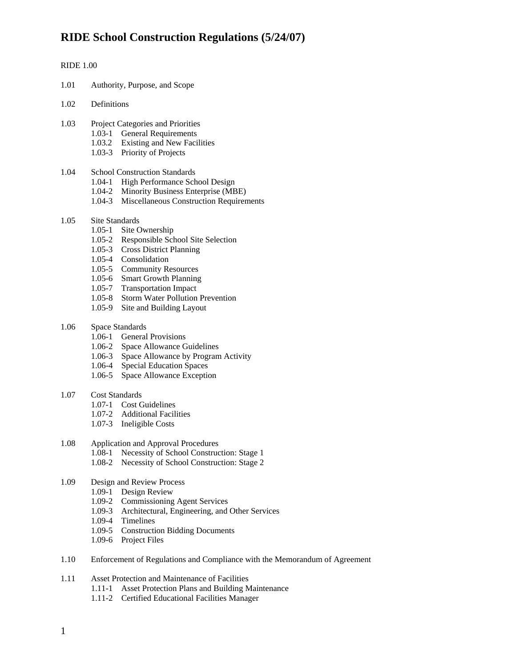#### RIDE 1.00

- 1.01 Authority, Purpose, and Scope
- 1.02 Definitions
- 1.03 Project Categories and Priorities
	- 1.03-1 General Requirements
	- 1.03.2 Existing and New Facilities
	- 1.03-3 Priority of Projects

#### 1.04 School Construction Standards

- 1.04-1 High Performance School Design
- 1.04-2 Minority Business Enterprise (MBE)
- 1.04-3 Miscellaneous Construction Requirements
- 1.05 Site Standards
	- 1.05-1 Site Ownership
	- 1.05-2 Responsible School Site Selection
	- 1.05-3 Cross District Planning
	- 1.05-4 Consolidation
	- 1.05-5 Community Resources
	- 1.05-6 Smart Growth Planning
	- 1.05-7 Transportation Impact
	- 1.05-8 Storm Water Pollution Prevention
	- 1.05-9 Site and Building Layout
- 1.06 Space Standards
	- 1.06-1 General Provisions
	- 1.06-2 Space Allowance Guidelines
	- 1.06-3 Space Allowance by Program Activity
	- 1.06-4 Special Education Spaces
	- 1.06-5 Space Allowance Exception
- 1.07 Cost Standards
	- 1.07-1 Cost Guidelines
	- 1.07-2 Additional Facilities
	- 1.07-3 Ineligible Costs

#### 1.08 Application and Approval Procedures

- 1.08-1 Necessity of School Construction: Stage 1
- 1.08-2 Necessity of School Construction: Stage 2

#### 1.09 Design and Review Process

- 1.09-1 Design Review
	- 1.09-2 Commissioning Agent Services
	- 1.09-3 Architectural, Engineering, and Other Services
	- 1.09-4 Timelines
	- 1.09-5 Construction Bidding Documents
	- 1.09-6 Project Files
- 1.10 Enforcement of Regulations and Compliance with the Memorandum of Agreement

#### 1.11 Asset Protection and Maintenance of Facilities

- 1.11-1 Asset Protection Plans and Building Maintenance
- 1.11-2 Certified Educational Facilities Manager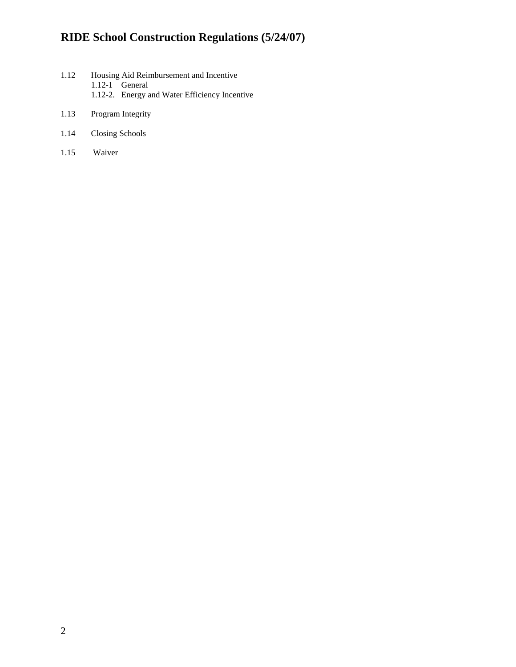- 1.12 Housing Aid Reimbursement and Incentive 1.12-1 General 1.12-2. Energy and Water Efficiency Incentive
- 1.13 Program Integrity
- 1.14 Closing Schools
- 1.15 Waiver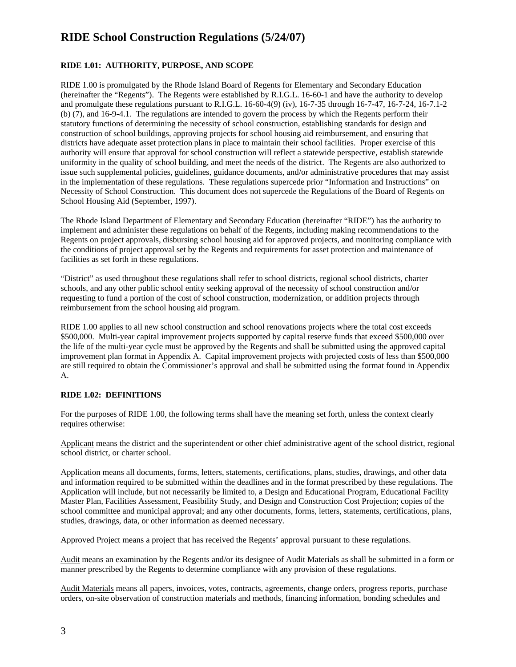#### **RIDE 1.01: AUTHORITY, PURPOSE, AND SCOPE**

RIDE 1.00 is promulgated by the Rhode Island Board of Regents for Elementary and Secondary Education (hereinafter the "Regents"). The Regents were established by R.I.G.L. 16-60-1 and have the authority to develop and promulgate these regulations pursuant to R.I.G.L. 16-60-4(9) (iv), 16-7-35 through 16-7-47, 16-7-24, 16-7.1-2 (b) (7), and 16-9-4.1. The regulations are intended to govern the process by which the Regents perform their statutory functions of determining the necessity of school construction, establishing standards for design and construction of school buildings, approving projects for school housing aid reimbursement, and ensuring that districts have adequate asset protection plans in place to maintain their school facilities. Proper exercise of this authority will ensure that approval for school construction will reflect a statewide perspective, establish statewide uniformity in the quality of school building, and meet the needs of the district. The Regents are also authorized to issue such supplemental policies, guidelines, guidance documents, and/or administrative procedures that may assist in the implementation of these regulations. These regulations supercede prior "Information and Instructions" on Necessity of School Construction. This document does not supercede the Regulations of the Board of Regents on School Housing Aid (September, 1997).

The Rhode Island Department of Elementary and Secondary Education (hereinafter "RIDE") has the authority to implement and administer these regulations on behalf of the Regents, including making recommendations to the Regents on project approvals, disbursing school housing aid for approved projects, and monitoring compliance with the conditions of project approval set by the Regents and requirements for asset protection and maintenance of facilities as set forth in these regulations.

"District" as used throughout these regulations shall refer to school districts, regional school districts, charter schools, and any other public school entity seeking approval of the necessity of school construction and/or requesting to fund a portion of the cost of school construction, modernization, or addition projects through reimbursement from the school housing aid program.

RIDE 1.00 applies to all new school construction and school renovations projects where the total cost exceeds \$500,000. Multi-year capital improvement projects supported by capital reserve funds that exceed \$500,000 over the life of the multi-year cycle must be approved by the Regents and shall be submitted using the approved capital improvement plan format in Appendix A. Capital improvement projects with projected costs of less than \$500,000 are still required to obtain the Commissioner's approval and shall be submitted using the format found in Appendix A.

#### **RIDE 1.02: DEFINITIONS**

For the purposes of RIDE 1.00, the following terms shall have the meaning set forth, unless the context clearly requires otherwise:

Applicant means the district and the superintendent or other chief administrative agent of the school district, regional school district, or charter school.

Application means all documents, forms, letters, statements, certifications, plans, studies, drawings, and other data and information required to be submitted within the deadlines and in the format prescribed by these regulations. The Application will include, but not necessarily be limited to, a Design and Educational Program, Educational Facility Master Plan, Facilities Assessment, Feasibility Study, and Design and Construction Cost Projection; copies of the school committee and municipal approval; and any other documents, forms, letters, statements, certifications, plans, studies, drawings, data, or other information as deemed necessary.

Approved Project means a project that has received the Regents' approval pursuant to these regulations.

Audit means an examination by the Regents and/or its designee of Audit Materials as shall be submitted in a form or manner prescribed by the Regents to determine compliance with any provision of these regulations.

Audit Materials means all papers, invoices, votes, contracts, agreements, change orders, progress reports, purchase orders, on-site observation of construction materials and methods, financing information, bonding schedules and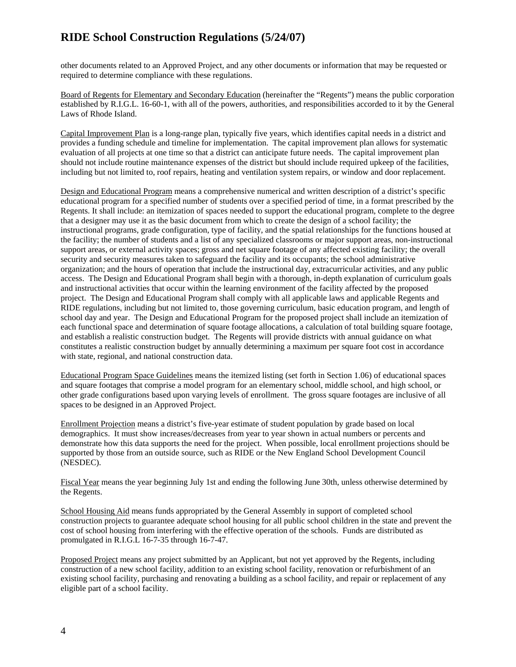other documents related to an Approved Project, and any other documents or information that may be requested or required to determine compliance with these regulations.

Board of Regents for Elementary and Secondary Education (hereinafter the "Regents") means the public corporation established by R.I.G.L. 16-60-1, with all of the powers, authorities, and responsibilities accorded to it by the General Laws of Rhode Island.

Capital Improvement Plan is a long-range plan, typically five years, which identifies capital needs in a district and provides a funding schedule and timeline for implementation. The capital improvement plan allows for systematic evaluation of all projects at one time so that a district can anticipate future needs. The capital improvement plan should not include routine maintenance expenses of the district but should include required upkeep of the facilities, including but not limited to, roof repairs, heating and ventilation system repairs, or window and door replacement.

Design and Educational Program means a comprehensive numerical and written description of a district's specific educational program for a specified number of students over a specified period of time, in a format prescribed by the Regents. It shall include: an itemization of spaces needed to support the educational program, complete to the degree that a designer may use it as the basic document from which to create the design of a school facility; the instructional programs, grade configuration, type of facility, and the spatial relationships for the functions housed at the facility; the number of students and a list of any specialized classrooms or major support areas, non-instructional support areas, or external activity spaces; gross and net square footage of any affected existing facility; the overall security and security measures taken to safeguard the facility and its occupants; the school administrative organization; and the hours of operation that include the instructional day, extracurricular activities, and any public access. The Design and Educational Program shall begin with a thorough, in-depth explanation of curriculum goals and instructional activities that occur within the learning environment of the facility affected by the proposed project. The Design and Educational Program shall comply with all applicable laws and applicable Regents and RIDE regulations, including but not limited to, those governing curriculum, basic education program, and length of school day and year. The Design and Educational Program for the proposed project shall include an itemization of each functional space and determination of square footage allocations, a calculation of total building square footage, and establish a realistic construction budget. The Regents will provide districts with annual guidance on what constitutes a realistic construction budget by annually determining a maximum per square foot cost in accordance with state, regional, and national construction data.

Educational Program Space Guidelines means the itemized listing (set forth in Section 1.06) of educational spaces and square footages that comprise a model program for an elementary school, middle school, and high school, or other grade configurations based upon varying levels of enrollment. The gross square footages are inclusive of all spaces to be designed in an Approved Project.

Enrollment Projection means a district's five-year estimate of student population by grade based on local demographics. It must show increases/decreases from year to year shown in actual numbers or percents and demonstrate how this data supports the need for the project. When possible, local enrollment projections should be supported by those from an outside source, such as RIDE or the New England School Development Council (NESDEC).

Fiscal Year means the year beginning July 1st and ending the following June 30th, unless otherwise determined by the Regents.

School Housing Aid means funds appropriated by the General Assembly in support of completed school construction projects to guarantee adequate school housing for all public school children in the state and prevent the cost of school housing from interfering with the effective operation of the schools. Funds are distributed as promulgated in R.I.G.L 16-7-35 through 16-7-47.

Proposed Project means any project submitted by an Applicant, but not yet approved by the Regents, including construction of a new school facility, addition to an existing school facility, renovation or refurbishment of an existing school facility, purchasing and renovating a building as a school facility, and repair or replacement of any eligible part of a school facility.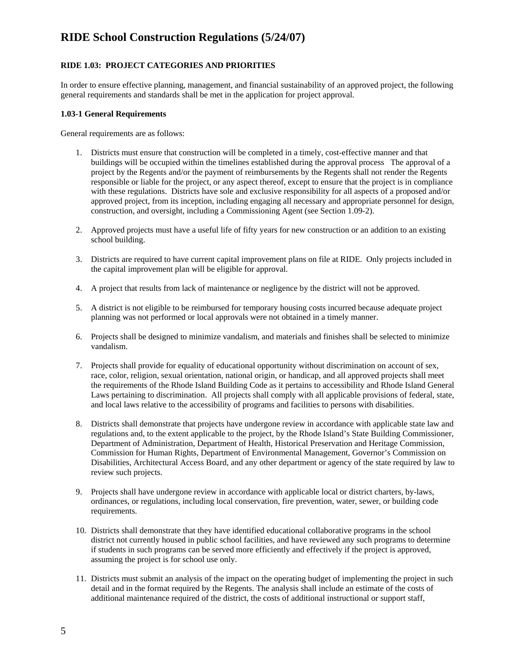#### **RIDE 1.03: PROJECT CATEGORIES AND PRIORITIES**

In order to ensure effective planning, management, and financial sustainability of an approved project, the following general requirements and standards shall be met in the application for project approval.

#### **1.03-1 General Requirements**

General requirements are as follows:

- 1. Districts must ensure that construction will be completed in a timely, cost-effective manner and that buildings will be occupied within the timelines established during the approval process The approval of a project by the Regents and/or the payment of reimbursements by the Regents shall not render the Regents responsible or liable for the project, or any aspect thereof, except to ensure that the project is in compliance with these regulations. Districts have sole and exclusive responsibility for all aspects of a proposed and/or approved project, from its inception, including engaging all necessary and appropriate personnel for design, construction, and oversight, including a Commissioning Agent (see Section 1.09-2).
- 2. Approved projects must have a useful life of fifty years for new construction or an addition to an existing school building.
- 3. Districts are required to have current capital improvement plans on file at RIDE. Only projects included in the capital improvement plan will be eligible for approval.
- 4. A project that results from lack of maintenance or negligence by the district will not be approved.
- 5. A district is not eligible to be reimbursed for temporary housing costs incurred because adequate project planning was not performed or local approvals were not obtained in a timely manner.
- 6. Projects shall be designed to minimize vandalism, and materials and finishes shall be selected to minimize vandalism.
- 7. Projects shall provide for equality of educational opportunity without discrimination on account of sex, race, color, religion, sexual orientation, national origin, or handicap, and all approved projects shall meet the requirements of the Rhode Island Building Code as it pertains to accessibility and Rhode Island General Laws pertaining to discrimination. All projects shall comply with all applicable provisions of federal, state, and local laws relative to the accessibility of programs and facilities to persons with disabilities.
- 8. Districts shall demonstrate that projects have undergone review in accordance with applicable state law and regulations and, to the extent applicable to the project, by the Rhode Island's State Building Commissioner, Department of Administration, Department of Health, Historical Preservation and Heritage Commission, Commission for Human Rights, Department of Environmental Management, Governor's Commission on Disabilities, Architectural Access Board, and any other department or agency of the state required by law to review such projects.
- 9. Projects shall have undergone review in accordance with applicable local or district charters, by-laws, ordinances, or regulations, including local conservation, fire prevention, water, sewer, or building code requirements.
- 10. Districts shall demonstrate that they have identified educational collaborative programs in the school district not currently housed in public school facilities, and have reviewed any such programs to determine if students in such programs can be served more efficiently and effectively if the project is approved, assuming the project is for school use only.
- 11. Districts must submit an analysis of the impact on the operating budget of implementing the project in such detail and in the format required by the Regents. The analysis shall include an estimate of the costs of additional maintenance required of the district, the costs of additional instructional or support staff,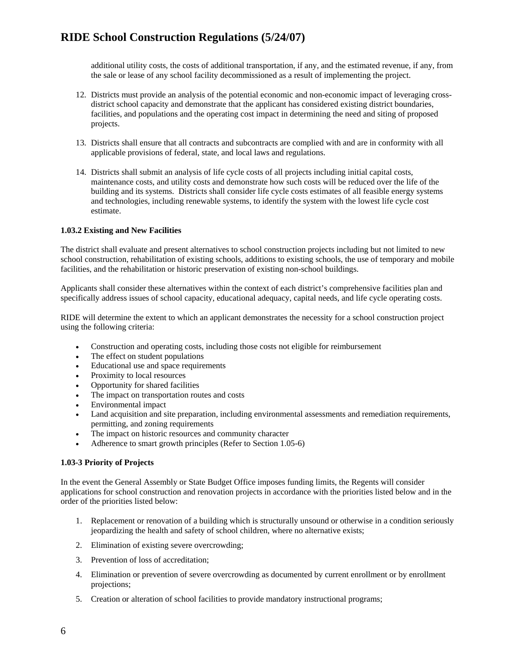additional utility costs, the costs of additional transportation, if any, and the estimated revenue, if any, from the sale or lease of any school facility decommissioned as a result of implementing the project.

- 12. Districts must provide an analysis of the potential economic and non-economic impact of leveraging crossdistrict school capacity and demonstrate that the applicant has considered existing district boundaries, facilities, and populations and the operating cost impact in determining the need and siting of proposed projects.
- 13. Districts shall ensure that all contracts and subcontracts are complied with and are in conformity with all applicable provisions of federal, state, and local laws and regulations.
- 14. Districts shall submit an analysis of life cycle costs of all projects including initial capital costs, maintenance costs, and utility costs and demonstrate how such costs will be reduced over the life of the building and its systems. Districts shall consider life cycle costs estimates of all feasible energy systems and technologies, including renewable systems, to identify the system with the lowest life cycle cost estimate.

#### **1.03.2 Existing and New Facilities**

The district shall evaluate and present alternatives to school construction projects including but not limited to new school construction, rehabilitation of existing schools, additions to existing schools, the use of temporary and mobile facilities, and the rehabilitation or historic preservation of existing non-school buildings.

Applicants shall consider these alternatives within the context of each district's comprehensive facilities plan and specifically address issues of school capacity, educational adequacy, capital needs, and life cycle operating costs.

RIDE will determine the extent to which an applicant demonstrates the necessity for a school construction project using the following criteria:

- Construction and operating costs, including those costs not eligible for reimbursement
- The effect on student populations
- Educational use and space requirements
- Proximity to local resources
- Opportunity for shared facilities
- The impact on transportation routes and costs
- Environmental impact
- Land acquisition and site preparation, including environmental assessments and remediation requirements, permitting, and zoning requirements
- The impact on historic resources and community character
- Adherence to smart growth principles (Refer to Section 1.05-6)

#### **1.03-3 Priority of Projects**

In the event the General Assembly or State Budget Office imposes funding limits, the Regents will consider applications for school construction and renovation projects in accordance with the priorities listed below and in the order of the priorities listed below:

- 1. Replacement or renovation of a building which is structurally unsound or otherwise in a condition seriously jeopardizing the health and safety of school children, where no alternative exists;
- 2. Elimination of existing severe overcrowding;
- 3. Prevention of loss of accreditation;
- 4. Elimination or prevention of severe overcrowding as documented by current enrollment or by enrollment projections;
- 5. Creation or alteration of school facilities to provide mandatory instructional programs;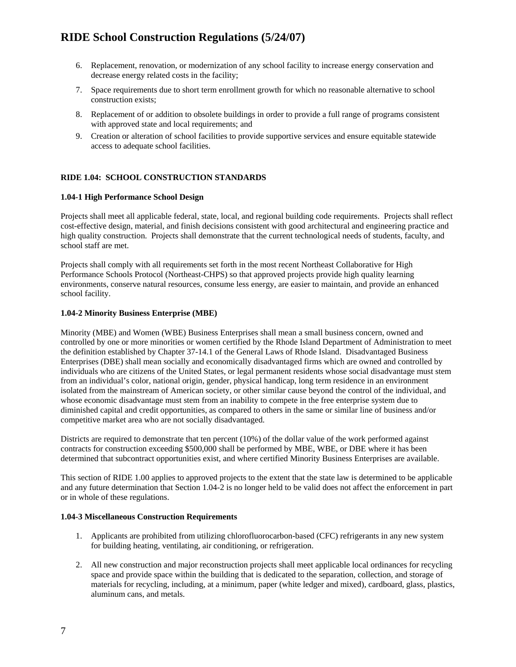- 6. Replacement, renovation, or modernization of any school facility to increase energy conservation and decrease energy related costs in the facility;
- 7. Space requirements due to short term enrollment growth for which no reasonable alternative to school construction exists;
- 8. Replacement of or addition to obsolete buildings in order to provide a full range of programs consistent with approved state and local requirements; and
- 9. Creation or alteration of school facilities to provide supportive services and ensure equitable statewide access to adequate school facilities.

#### **RIDE 1.04: SCHOOL CONSTRUCTION STANDARDS**

#### **1.04-1 High Performance School Design**

Projects shall meet all applicable federal, state, local, and regional building code requirements. Projects shall reflect cost-effective design, material, and finish decisions consistent with good architectural and engineering practice and high quality construction. Projects shall demonstrate that the current technological needs of students, faculty, and school staff are met.

Projects shall comply with all requirements set forth in the most recent Northeast Collaborative for High Performance Schools Protocol (Northeast-CHPS) so that approved projects provide high quality learning environments, conserve natural resources, consume less energy, are easier to maintain, and provide an enhanced school facility.

#### **1.04-2 Minority Business Enterprise (MBE)**

Minority (MBE) and Women (WBE) Business Enterprises shall mean a small business concern, owned and controlled by one or more minorities or women certified by the Rhode Island Department of Administration to meet the definition established by Chapter 37-14.1 of the General Laws of Rhode Island. Disadvantaged Business Enterprises (DBE) shall mean socially and economically disadvantaged firms which are owned and controlled by individuals who are citizens of the United States, or legal permanent residents whose social disadvantage must stem from an individual's color, national origin, gender, physical handicap, long term residence in an environment isolated from the mainstream of American society, or other similar cause beyond the control of the individual, and whose economic disadvantage must stem from an inability to compete in the free enterprise system due to diminished capital and credit opportunities, as compared to others in the same or similar line of business and/or competitive market area who are not socially disadvantaged.

Districts are required to demonstrate that ten percent (10%) of the dollar value of the work performed against contracts for construction exceeding \$500,000 shall be performed by MBE, WBE, or DBE where it has been determined that subcontract opportunities exist, and where certified Minority Business Enterprises are available.

This section of RIDE 1.00 applies to approved projects to the extent that the state law is determined to be applicable and any future determination that Section 1.04-2 is no longer held to be valid does not affect the enforcement in part or in whole of these regulations.

#### **1.04-3 Miscellaneous Construction Requirements**

- 1. Applicants are prohibited from utilizing chlorofluorocarbon-based (CFC) refrigerants in any new system for building heating, ventilating, air conditioning, or refrigeration.
- 2. All new construction and major reconstruction projects shall meet applicable local ordinances for recycling space and provide space within the building that is dedicated to the separation, collection, and storage of materials for recycling, including, at a minimum, paper (white ledger and mixed), cardboard, glass, plastics, aluminum cans, and metals.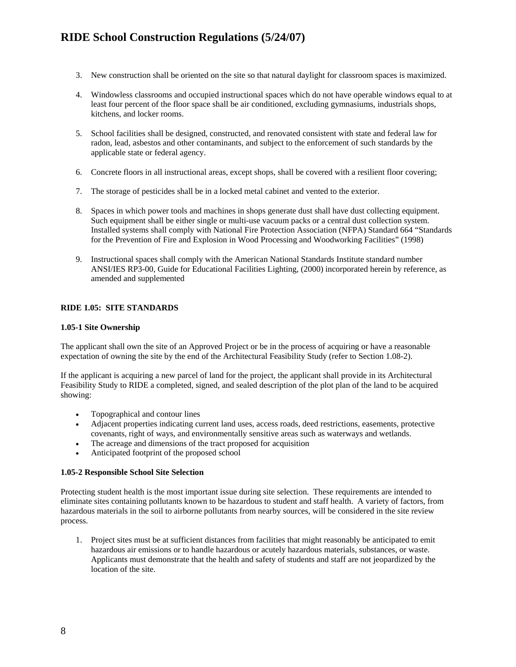- 3. New construction shall be oriented on the site so that natural daylight for classroom spaces is maximized.
- 4. Windowless classrooms and occupied instructional spaces which do not have operable windows equal to at least four percent of the floor space shall be air conditioned, excluding gymnasiums, industrials shops, kitchens, and locker rooms.
- 5. School facilities shall be designed, constructed, and renovated consistent with state and federal law for radon, lead, asbestos and other contaminants, and subject to the enforcement of such standards by the applicable state or federal agency.
- 6. Concrete floors in all instructional areas, except shops, shall be covered with a resilient floor covering;
- 7. The storage of pesticides shall be in a locked metal cabinet and vented to the exterior.
- 8. Spaces in which power tools and machines in shops generate dust shall have dust collecting equipment. Such equipment shall be either single or multi-use vacuum packs or a central dust collection system. Installed systems shall comply with National Fire Protection Association (NFPA) Standard 664 "Standards for the Prevention of Fire and Explosion in Wood Processing and Woodworking Facilities" (1998)
- 9. Instructional spaces shall comply with the American National Standards Institute standard number ANSI/IES RP3-00, Guide for Educational Facilities Lighting, (2000) incorporated herein by reference, as amended and supplemented

#### **RIDE 1.05: SITE STANDARDS**

#### **1.05-1 Site Ownership**

The applicant shall own the site of an Approved Project or be in the process of acquiring or have a reasonable expectation of owning the site by the end of the Architectural Feasibility Study (refer to Section 1.08-2).

If the applicant is acquiring a new parcel of land for the project, the applicant shall provide in its Architectural Feasibility Study to RIDE a completed, signed, and sealed description of the plot plan of the land to be acquired showing:

- Topographical and contour lines
- Adjacent properties indicating current land uses, access roads, deed restrictions, easements, protective covenants, right of ways, and environmentally sensitive areas such as waterways and wetlands.
- The acreage and dimensions of the tract proposed for acquisition
- Anticipated footprint of the proposed school

#### **1.05-2 Responsible School Site Selection**

Protecting student health is the most important issue during site selection. These requirements are intended to eliminate sites containing pollutants known to be hazardous to student and staff health. A variety of factors, from hazardous materials in the soil to airborne pollutants from nearby sources, will be considered in the site review process.

1. Project sites must be at sufficient distances from facilities that might reasonably be anticipated to emit hazardous air emissions or to handle hazardous or acutely hazardous materials, substances, or waste. Applicants must demonstrate that the health and safety of students and staff are not jeopardized by the location of the site.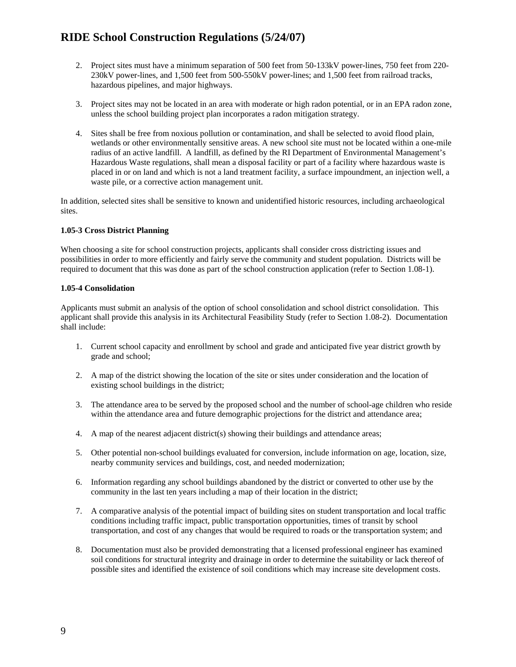- 2. Project sites must have a minimum separation of 500 feet from 50-133kV power-lines, 750 feet from 220- 230kV power-lines, and 1,500 feet from 500-550kV power-lines; and 1,500 feet from railroad tracks, hazardous pipelines, and major highways.
- 3. Project sites may not be located in an area with moderate or high radon potential, or in an EPA radon zone, unless the school building project plan incorporates a radon mitigation strategy.
- 4. Sites shall be free from noxious pollution or contamination, and shall be selected to avoid flood plain, wetlands or other environmentally sensitive areas. A new school site must not be located within a one-mile radius of an active landfill. A landfill, as defined by the RI Department of Environmental Management's Hazardous Waste regulations, shall mean a disposal facility or part of a facility where hazardous waste is placed in or on land and which is not a land treatment facility, a surface impoundment, an injection well, a waste pile, or a corrective action management unit.

In addition, selected sites shall be sensitive to known and unidentified historic resources, including archaeological sites.

#### **1.05-3 Cross District Planning**

When choosing a site for school construction projects, applicants shall consider cross districting issues and possibilities in order to more efficiently and fairly serve the community and student population. Districts will be required to document that this was done as part of the school construction application (refer to Section 1.08-1).

#### **1.05-4 Consolidation**

Applicants must submit an analysis of the option of school consolidation and school district consolidation. This applicant shall provide this analysis in its Architectural Feasibility Study (refer to Section 1.08-2). Documentation shall include:

- 1. Current school capacity and enrollment by school and grade and anticipated five year district growth by grade and school;
- 2. A map of the district showing the location of the site or sites under consideration and the location of existing school buildings in the district;
- 3. The attendance area to be served by the proposed school and the number of school-age children who reside within the attendance area and future demographic projections for the district and attendance area;
- 4. A map of the nearest adjacent district(s) showing their buildings and attendance areas;
- 5. Other potential non-school buildings evaluated for conversion, include information on age, location, size, nearby community services and buildings, cost, and needed modernization;
- 6. Information regarding any school buildings abandoned by the district or converted to other use by the community in the last ten years including a map of their location in the district;
- 7. A comparative analysis of the potential impact of building sites on student transportation and local traffic conditions including traffic impact, public transportation opportunities, times of transit by school transportation, and cost of any changes that would be required to roads or the transportation system; and
- 8. Documentation must also be provided demonstrating that a licensed professional engineer has examined soil conditions for structural integrity and drainage in order to determine the suitability or lack thereof of possible sites and identified the existence of soil conditions which may increase site development costs.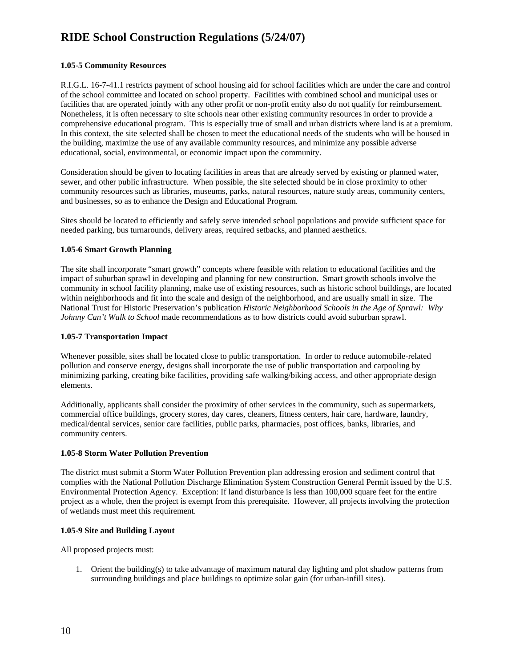#### **1.05-5 Community Resources**

R.I.G.L. 16-7-41.1 restricts payment of school housing aid for school facilities which are under the care and control of the school committee and located on school property. Facilities with combined school and municipal uses or facilities that are operated jointly with any other profit or non-profit entity also do not qualify for reimbursement. Nonetheless, it is often necessary to site schools near other existing community resources in order to provide a comprehensive educational program. This is especially true of small and urban districts where land is at a premium. In this context, the site selected shall be chosen to meet the educational needs of the students who will be housed in the building, maximize the use of any available community resources, and minimize any possible adverse educational, social, environmental, or economic impact upon the community.

Consideration should be given to locating facilities in areas that are already served by existing or planned water, sewer, and other public infrastructure. When possible, the site selected should be in close proximity to other community resources such as libraries, museums, parks, natural resources, nature study areas, community centers, and businesses, so as to enhance the Design and Educational Program.

Sites should be located to efficiently and safely serve intended school populations and provide sufficient space for needed parking, bus turnarounds, delivery areas, required setbacks, and planned aesthetics.

#### **1.05-6 Smart Growth Planning**

The site shall incorporate "smart growth" concepts where feasible with relation to educational facilities and the impact of suburban sprawl in developing and planning for new construction. Smart growth schools involve the community in school facility planning, make use of existing resources, such as historic school buildings, are located within neighborhoods and fit into the scale and design of the neighborhood, and are usually small in size. The National Trust for Historic Preservation's publication *Historic Neighborhood Schools in the Age of Sprawl: Why Johnny Can't Walk to School* made recommendations as to how districts could avoid suburban sprawl.

#### **1.05-7 Transportation Impact**

Whenever possible, sites shall be located close to public transportation. In order to reduce automobile-related pollution and conserve energy, designs shall incorporate the use of public transportation and carpooling by minimizing parking, creating bike facilities, providing safe walking/biking access, and other appropriate design elements.

Additionally, applicants shall consider the proximity of other services in the community, such as supermarkets, commercial office buildings, grocery stores, day cares, cleaners, fitness centers, hair care, hardware, laundry, medical/dental services, senior care facilities, public parks, pharmacies, post offices, banks, libraries, and community centers.

#### **1.05-8 Storm Water Pollution Prevention**

The district must submit a Storm Water Pollution Prevention plan addressing erosion and sediment control that complies with the National Pollution Discharge Elimination System Construction General Permit issued by the U.S. Environmental Protection Agency. Exception: If land disturbance is less than 100,000 square feet for the entire project as a whole, then the project is exempt from this prerequisite. However, all projects involving the protection of wetlands must meet this requirement.

#### **1.05-9 Site and Building Layout**

All proposed projects must:

1. Orient the building(s) to take advantage of maximum natural day lighting and plot shadow patterns from surrounding buildings and place buildings to optimize solar gain (for urban-infill sites).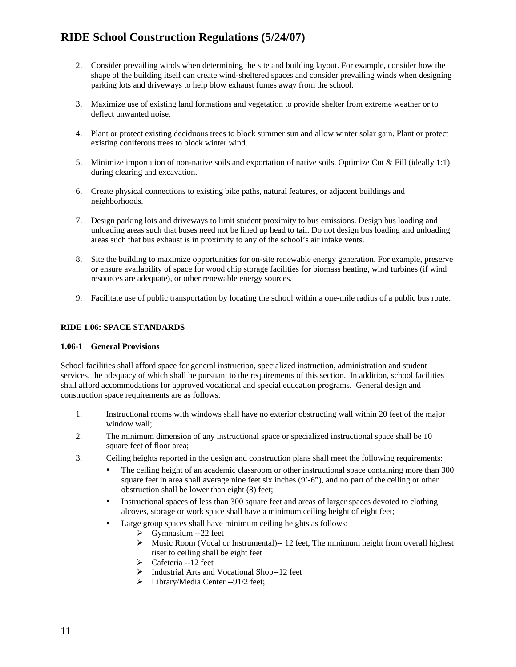- 2. Consider prevailing winds when determining the site and building layout. For example, consider how the shape of the building itself can create wind-sheltered spaces and consider prevailing winds when designing parking lots and driveways to help blow exhaust fumes away from the school.
- 3. Maximize use of existing land formations and vegetation to provide shelter from extreme weather or to deflect unwanted noise.
- 4. Plant or protect existing deciduous trees to block summer sun and allow winter solar gain. Plant or protect existing coniferous trees to block winter wind.
- 5. Minimize importation of non-native soils and exportation of native soils. Optimize Cut & Fill (ideally 1:1) during clearing and excavation.
- 6. Create physical connections to existing bike paths, natural features, or adjacent buildings and neighborhoods.
- 7. Design parking lots and driveways to limit student proximity to bus emissions. Design bus loading and unloading areas such that buses need not be lined up head to tail. Do not design bus loading and unloading areas such that bus exhaust is in proximity to any of the school's air intake vents.
- 8. Site the building to maximize opportunities for on-site renewable energy generation. For example, preserve or ensure availability of space for wood chip storage facilities for biomass heating, wind turbines (if wind resources are adequate), or other renewable energy sources.
- 9. Facilitate use of public transportation by locating the school within a one-mile radius of a public bus route.

#### **RIDE 1.06: SPACE STANDARDS**

#### **1.06-1 General Provisions**

School facilities shall afford space for general instruction, specialized instruction, administration and student services, the adequacy of which shall be pursuant to the requirements of this section. In addition, school facilities shall afford accommodations for approved vocational and special education programs. General design and construction space requirements are as follows:

- 1. Instructional rooms with windows shall have no exterior obstructing wall within 20 feet of the major window wall;
- 2. The minimum dimension of any instructional space or specialized instructional space shall be 10 square feet of floor area;
- 3. Ceiling heights reported in the design and construction plans shall meet the following requirements:
	- The ceiling height of an academic classroom or other instructional space containing more than 300 square feet in area shall average nine feet six inches (9'-6"), and no part of the ceiling or other obstruction shall be lower than eight (8) feet;
	- Instructional spaces of less than 300 square feet and areas of larger spaces devoted to clothing alcoves, storage or work space shall have a minimum ceiling height of eight feet;
	- Large group spaces shall have minimum ceiling heights as follows:
		- $\triangleright$  Gymnasium --22 feet
		- $\triangleright$  Music Room (Vocal or Instrumental)--12 feet, The minimum height from overall highest riser to ceiling shall be eight feet
		- $\triangleright$  Cafeteria --12 feet
		- ¾ Industrial Arts and Vocational Shop--12 feet
		- ¾ Library/Media Center --91/2 feet;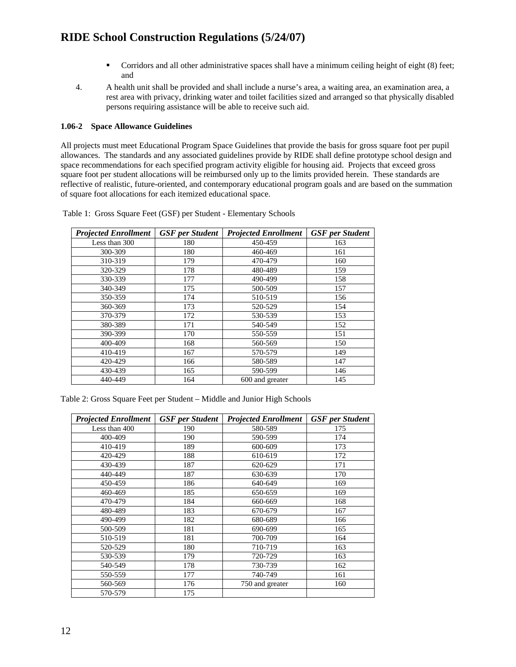- Corridors and all other administrative spaces shall have a minimum ceiling height of eight (8) feet; and
- 4. A health unit shall be provided and shall include a nurse's area, a waiting area, an examination area, a rest area with privacy, drinking water and toilet facilities sized and arranged so that physically disabled persons requiring assistance will be able to receive such aid.

#### **1.06-2 Space Allowance Guidelines**

All projects must meet Educational Program Space Guidelines that provide the basis for gross square foot per pupil allowances. The standards and any associated guidelines provide by RIDE shall define prototype school design and space recommendations for each specified program activity eligible for housing aid. Projects that exceed gross square foot per student allocations will be reimbursed only up to the limits provided herein. These standards are reflective of realistic, future-oriented, and contemporary educational program goals and are based on the summation of square foot allocations for each itemized educational space.

| <b>Projected Enrollment</b> | <b>GSF</b> per Student | <b>Projected Enrollment</b> | <b>GSF</b> per Student |  |
|-----------------------------|------------------------|-----------------------------|------------------------|--|
| Less than 300               | 180                    | 450-459                     | 163                    |  |
| 300-309                     | 180                    | 460-469                     | 161                    |  |
| 310-319                     | 179                    | 470-479                     | 160                    |  |
| 320-329                     | 178                    | 480-489                     | 159                    |  |
| 330-339                     | 177                    | 490-499                     | 158                    |  |
| 340-349                     | 175                    | 500-509                     | 157                    |  |
| 350-359                     | 174                    | 510-519                     | 156                    |  |
| 360-369                     | 173                    | 520-529                     | 154                    |  |
| 370-379                     | 172                    | 530-539                     | 153                    |  |
| 380-389                     | 171                    | 540-549                     | 152                    |  |
| 390-399                     | 170                    | 550-559                     | 151                    |  |
| 400-409                     | 168                    | 560-569                     | 150                    |  |
| 410-419                     | 167                    | 570-579                     | 149                    |  |
| 420-429                     | 166                    | 580-589                     | 147                    |  |
| 430-439                     | 165                    | 590-599                     | 146                    |  |
| 440-449                     | 164                    | 600 and greater             | 145                    |  |

Table 1: Gross Square Feet (GSF) per Student - Elementary Schools

Table 2: Gross Square Feet per Student – Middle and Junior High Schools

| <b>Projected Enrollment</b> | <b>GSF</b> per Student | <b>Projected Enrollment</b> | <b>GSF</b> per Student |  |  |
|-----------------------------|------------------------|-----------------------------|------------------------|--|--|
| Less than 400               | 190                    | 580-589                     | 175                    |  |  |
| 400-409                     | 190                    | 590-599                     | 174                    |  |  |
| 410-419                     | 189                    | 600-609                     | 173                    |  |  |
| 420-429                     | 188                    | 610-619                     | 172                    |  |  |
| 430-439                     | 187                    | 620-629                     | 171                    |  |  |
| 440-449                     | 187                    | 630-639                     | 170                    |  |  |
| 450-459                     | 186                    | 640-649                     | 169                    |  |  |
| 460-469                     | 185                    | 650-659                     | 169                    |  |  |
| 470-479                     | 184                    | 660-669                     | 168                    |  |  |
| 480-489                     | 183                    | 670-679                     | 167                    |  |  |
| 490-499                     | 182                    | 680-689                     | 166                    |  |  |
| 500-509                     | 181                    | 690-699                     | 165                    |  |  |
| 510-519                     | 181                    | 700-709                     | 164                    |  |  |
| 520-529                     | 180                    | 710-719                     | 163                    |  |  |
| 530-539                     | 179                    | 720-729                     | 163                    |  |  |
| 540-549                     | 178                    | 730-739                     | 162                    |  |  |
| 550-559                     | 177                    | 740-749                     | 161                    |  |  |
| 560-569                     | 176                    | 750 and greater             | 160                    |  |  |
| 570-579                     | 175                    |                             |                        |  |  |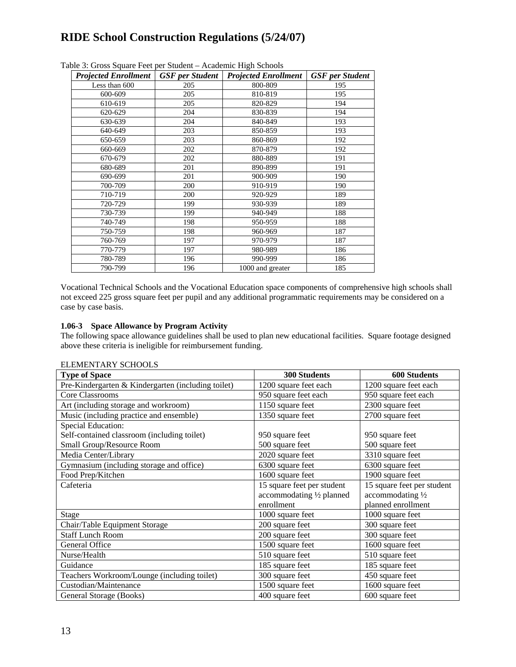| <b>Projected Enrollment</b>   GSF per Student |     | <b>Projected Enrollment</b> | <b>GSF</b> per Student |
|-----------------------------------------------|-----|-----------------------------|------------------------|
| Less than 600                                 | 205 | 800-809                     | 195                    |
| 600-609                                       | 205 | 810-819                     | 195                    |
| 610-619                                       | 205 | 820-829                     | 194                    |
| 620-629                                       | 204 | 830-839                     | 194                    |
| 630-639                                       | 204 | 840-849                     | 193                    |
| 640-649                                       | 203 | 850-859                     | 193                    |
| 650-659                                       | 203 | 860-869                     | 192                    |
| 660-669                                       | 202 | 870-879                     | 192                    |
| 670-679                                       | 202 | 880-889                     | 191                    |
| 680-689                                       | 201 | 890-899                     | 191                    |
| 690-699                                       | 201 | 900-909                     | 190                    |
| 700-709                                       | 200 | 910-919                     | 190                    |
| 710-719                                       | 200 | 920-929                     | 189                    |
| 720-729                                       | 199 | 930-939                     | 189                    |
| 730-739                                       | 199 | 940-949                     | 188                    |
| 740-749                                       | 198 | 950-959                     | 188                    |
| 750-759                                       | 198 | 960-969                     | 187                    |
| 760-769                                       | 197 | 970-979                     | 187                    |
| 770-779                                       | 197 | 980-989                     | 186                    |
| 780-789                                       | 196 | 990-999                     | 186                    |
| 790-799                                       | 196 | 1000 and greater            | 185                    |

Table 3: Gross Square Feet per Student – Academic High Schools

Vocational Technical Schools and the Vocational Education space components of comprehensive high schools shall not exceed 225 gross square feet per pupil and any additional programmatic requirements may be considered on a case by case basis.

#### **1.06-3 Space Allowance by Program Activity**

The following space allowance guidelines shall be used to plan new educational facilities. Square footage designed above these criteria is ineligible for reimbursement funding.

| <b>Type of Space</b>                               | <b>300 Students</b>        | <b>600 Students</b>        |
|----------------------------------------------------|----------------------------|----------------------------|
| Pre-Kindergarten & Kindergarten (including toilet) | 1200 square feet each      | 1200 square feet each      |
| Core Classrooms                                    | 950 square feet each       | 950 square feet each       |
| Art (including storage and workroom)               | 1150 square feet           | 2300 square feet           |
| Music (including practice and ensemble)            | 1350 square feet           | 2700 square feet           |
| <b>Special Education:</b>                          |                            |                            |
| Self-contained classroom (including toilet)        | 950 square feet            | 950 square feet            |
| Small Group/Resource Room                          | 500 square feet            | 500 square feet            |
| Media Center/Library                               | 2020 square feet           | 3310 square feet           |
| Gymnasium (including storage and office)           | 6300 square feet           | 6300 square feet           |
| Food Prep/Kitchen                                  | 1600 square feet           | 1900 square feet           |
| Cafeteria                                          | 15 square feet per student | 15 square feet per student |
|                                                    | accommodating 1/2 planned  | accommodating 1/2          |
|                                                    | enrollment                 | planned enrollment         |
| <b>Stage</b>                                       | 1000 square feet           | 1000 square feet           |
| Chair/Table Equipment Storage                      | 200 square feet            | 300 square feet            |
| <b>Staff Lunch Room</b>                            | 200 square feet            | 300 square feet            |
| General Office                                     | 1500 square feet           | 1600 square feet           |
| Nurse/Health                                       | 510 square feet            | 510 square feet            |
| Guidance                                           | 185 square feet            | 185 square feet            |
| Teachers Workroom/Lounge (including toilet)        | 300 square feet            | 450 square feet            |
| Custodian/Maintenance                              | 1500 square feet           | 1600 square feet           |
| General Storage (Books)                            | 400 square feet            | 600 square feet            |

ELEMENTARY SCHOOLS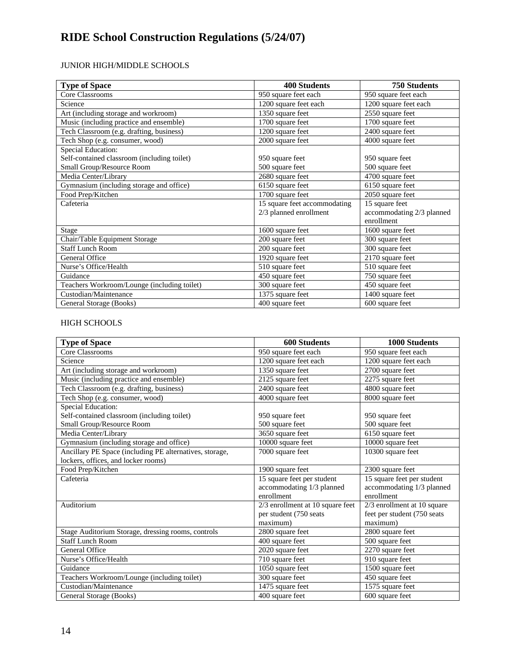### JUNIOR HIGH/MIDDLE SCHOOLS

| <b>Type of Space</b>                        | <b>400 Students</b>          | <b>750 Students</b>       |  |
|---------------------------------------------|------------------------------|---------------------------|--|
| Core Classrooms                             | 950 square feet each         | 950 square feet each      |  |
| Science                                     | 1200 square feet each        | 1200 square feet each     |  |
| Art (including storage and workroom)        | 1350 square feet             | 2550 square feet          |  |
| Music (including practice and ensemble)     | 1700 square feet             | 1700 square feet          |  |
| Tech Classroom (e.g. drafting, business)    | 1200 square feet             | 2400 square feet          |  |
| Tech Shop (e.g. consumer, wood)             | 2000 square feet             | 4000 square feet          |  |
| Special Education:                          |                              |                           |  |
| Self-contained classroom (including toilet) | 950 square feet              | 950 square feet           |  |
| Small Group/Resource Room                   | 500 square feet              | 500 square feet           |  |
| Media Center/Library                        | 2680 square feet             | 4700 square feet          |  |
| Gymnasium (including storage and office)    | 6150 square feet             | 6150 square feet          |  |
| Food Prep/Kitchen                           | 1700 square feet             | 2050 square feet          |  |
| Cafeteria                                   | 15 square feet accommodating | 15 square feet            |  |
|                                             | 2/3 planned enrollment       | accommodating 2/3 planned |  |
|                                             |                              | enrollment                |  |
| Stage                                       | 1600 square feet             | 1600 square feet          |  |
| Chair/Table Equipment Storage               | 200 square feet              | 300 square feet           |  |
| <b>Staff Lunch Room</b>                     | 200 square feet              | 300 square feet           |  |
| General Office                              | 1920 square feet             | 2170 square feet          |  |
| Nurse's Office/Health                       | 510 square feet              | 510 square feet           |  |
| Guidance                                    | 450 square feet              | 750 square feet           |  |
| Teachers Workroom/Lounge (including toilet) | 300 square feet              | 450 square feet           |  |
| Custodian/Maintenance                       | 1375 square feet             | 1400 square feet          |  |
| General Storage (Books)                     | 400 square feet              | 600 square feet           |  |

### HIGH SCHOOLS

| <b>Type of Space</b>                                    | <b>600 Students</b>              | <b>1000 Students</b>          |
|---------------------------------------------------------|----------------------------------|-------------------------------|
| Core Classrooms                                         | 950 square feet each             | 950 square feet each          |
| Science                                                 | 1200 square feet each            | 1200 square feet each         |
| Art (including storage and workroom)                    | 1350 square feet                 | 2700 square feet              |
| Music (including practice and ensemble)                 | 2125 square feet                 | 2275 square feet              |
| Tech Classroom (e.g. drafting, business)                | $\overline{2400}$ square feet    | $\overline{4800}$ square feet |
| Tech Shop (e.g. consumer, wood)                         | 4000 square feet                 | 8000 square feet              |
| Special Education:                                      |                                  |                               |
| Self-contained classroom (including toilet)             | 950 square feet                  | 950 square feet               |
| Small Group/Resource Room                               | 500 square feet                  | 500 square feet               |
| Media Center/Library                                    | 3650 square feet                 | 6150 square feet              |
| Gymnasium (including storage and office)                | 10000 square feet                | 10000 square feet             |
| Ancillary PE Space (including PE alternatives, storage, | 7000 square feet                 | 10300 square feet             |
| lockers, offices, and locker rooms)                     |                                  |                               |
| Food Prep/Kitchen                                       | 1900 square feet                 | 2300 square feet              |
| Cafeteria                                               | 15 square feet per student       | 15 square feet per student    |
|                                                         | accommodating 1/3 planned        | accommodating 1/3 planned     |
|                                                         | enrollment                       | enrollment                    |
| Auditorium                                              | 2/3 enrollment at 10 square feet | 2/3 enrollment at 10 square   |
|                                                         | per student (750 seats           | feet per student (750 seats   |
|                                                         | maximum)                         | maximum)                      |
| Stage Auditorium Storage, dressing rooms, controls      | 2800 square feet                 | 2800 square feet              |
| <b>Staff Lunch Room</b>                                 | 400 square feet                  | $\overline{500}$ square feet  |
| General Office                                          | 2020 square feet                 | $\overline{2270}$ square feet |
| Nurse's Office/Health                                   | 710 square feet                  | 910 square feet               |
| Guidance                                                | 1050 square feet                 | 1500 square feet              |
| Teachers Workroom/Lounge (including toilet)             | 300 square feet                  | 450 square feet               |
| Custodian/Maintenance                                   | 1475 square feet                 | 1575 square feet              |
| General Storage (Books)                                 | 400 square feet                  | 600 square feet               |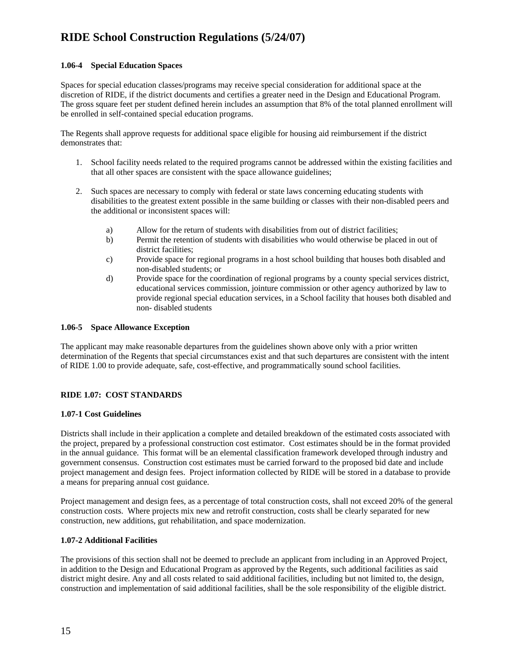#### **1.06-4 Special Education Spaces**

Spaces for special education classes/programs may receive special consideration for additional space at the discretion of RIDE, if the district documents and certifies a greater need in the Design and Educational Program. The gross square feet per student defined herein includes an assumption that 8% of the total planned enrollment will be enrolled in self-contained special education programs.

The Regents shall approve requests for additional space eligible for housing aid reimbursement if the district demonstrates that:

- 1. School facility needs related to the required programs cannot be addressed within the existing facilities and that all other spaces are consistent with the space allowance guidelines;
- 2. Such spaces are necessary to comply with federal or state laws concerning educating students with disabilities to the greatest extent possible in the same building or classes with their non-disabled peers and the additional or inconsistent spaces will:
	- a) Allow for the return of students with disabilities from out of district facilities;
	- b) Permit the retention of students with disabilities who would otherwise be placed in out of district facilities;
	- c) Provide space for regional programs in a host school building that houses both disabled and non-disabled students; or
	- d) Provide space for the coordination of regional programs by a county special services district, educational services commission, jointure commission or other agency authorized by law to provide regional special education services, in a School facility that houses both disabled and non- disabled students

#### **1.06-5 Space Allowance Exception**

The applicant may make reasonable departures from the guidelines shown above only with a prior written determination of the Regents that special circumstances exist and that such departures are consistent with the intent of RIDE 1.00 to provide adequate, safe, cost-effective, and programmatically sound school facilities.

#### **RIDE 1.07: COST STANDARDS**

#### **1.07-1 Cost Guidelines**

Districts shall include in their application a complete and detailed breakdown of the estimated costs associated with the project, prepared by a professional construction cost estimator. Cost estimates should be in the format provided in the annual guidance. This format will be an elemental classification framework developed through industry and government consensus. Construction cost estimates must be carried forward to the proposed bid date and include project management and design fees. Project information collected by RIDE will be stored in a database to provide a means for preparing annual cost guidance.

Project management and design fees, as a percentage of total construction costs, shall not exceed 20% of the general construction costs. Where projects mix new and retrofit construction, costs shall be clearly separated for new construction, new additions, gut rehabilitation, and space modernization.

#### **1.07-2 Additional Facilities**

The provisions of this section shall not be deemed to preclude an applicant from including in an Approved Project, in addition to the Design and Educational Program as approved by the Regents, such additional facilities as said district might desire. Any and all costs related to said additional facilities, including but not limited to, the design, construction and implementation of said additional facilities, shall be the sole responsibility of the eligible district.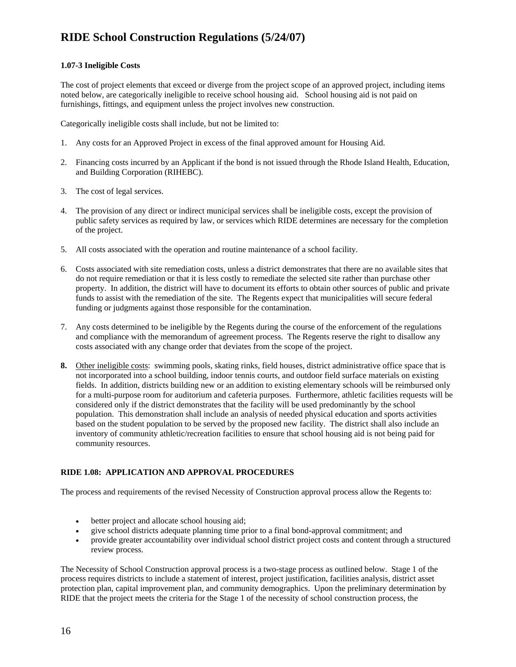#### **1.07-3 Ineligible Costs**

The cost of project elements that exceed or diverge from the project scope of an approved project, including items noted below, are categorically ineligible to receive school housing aid. School housing aid is not paid on furnishings, fittings, and equipment unless the project involves new construction.

Categorically ineligible costs shall include, but not be limited to:

- 1. Any costs for an Approved Project in excess of the final approved amount for Housing Aid.
- 2. Financing costs incurred by an Applicant if the bond is not issued through the Rhode Island Health, Education, and Building Corporation (RIHEBC).
- 3. The cost of legal services.
- 4. The provision of any direct or indirect municipal services shall be ineligible costs, except the provision of public safety services as required by law, or services which RIDE determines are necessary for the completion of the project.
- 5. All costs associated with the operation and routine maintenance of a school facility.
- 6. Costs associated with site remediation costs, unless a district demonstrates that there are no available sites that do not require remediation or that it is less costly to remediate the selected site rather than purchase other property. In addition, the district will have to document its efforts to obtain other sources of public and private funds to assist with the remediation of the site. The Regents expect that municipalities will secure federal funding or judgments against those responsible for the contamination.
- 7. Any costs determined to be ineligible by the Regents during the course of the enforcement of the regulations and compliance with the memorandum of agreement process. The Regents reserve the right to disallow any costs associated with any change order that deviates from the scope of the project.
- **8.** Other ineligible costs: swimming pools, skating rinks, field houses, district administrative office space that is not incorporated into a school building, indoor tennis courts, and outdoor field surface materials on existing fields. In addition, districts building new or an addition to existing elementary schools will be reimbursed only for a multi-purpose room for auditorium and cafeteria purposes. Furthermore, athletic facilities requests will be considered only if the district demonstrates that the facility will be used predominantly by the school population. This demonstration shall include an analysis of needed physical education and sports activities based on the student population to be served by the proposed new facility. The district shall also include an inventory of community athletic/recreation facilities to ensure that school housing aid is not being paid for community resources.

#### **RIDE 1.08: APPLICATION AND APPROVAL PROCEDURES**

The process and requirements of the revised Necessity of Construction approval process allow the Regents to:

- better project and allocate school housing aid;
- give school districts adequate planning time prior to a final bond-approval commitment; and
- provide greater accountability over individual school district project costs and content through a structured review process.

The Necessity of School Construction approval process is a two-stage process as outlined below. Stage 1 of the process requires districts to include a statement of interest, project justification, facilities analysis, district asset protection plan, capital improvement plan, and community demographics. Upon the preliminary determination by RIDE that the project meets the criteria for the Stage 1 of the necessity of school construction process, the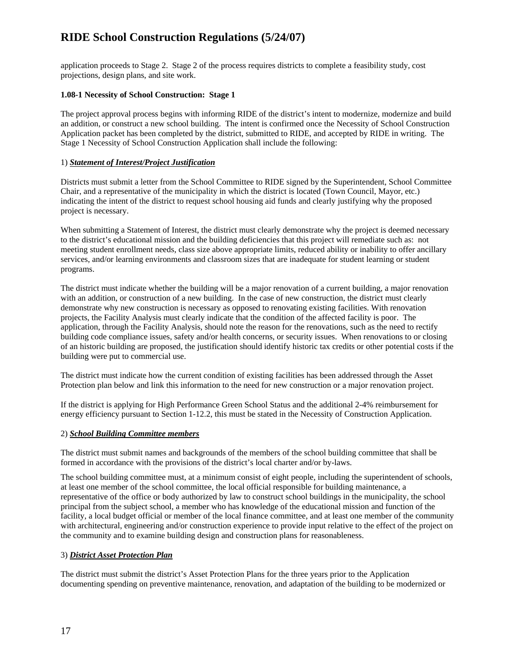application proceeds to Stage 2. Stage 2 of the process requires districts to complete a feasibility study, cost projections, design plans, and site work.

#### **1.08-1 Necessity of School Construction: Stage 1**

The project approval process begins with informing RIDE of the district's intent to modernize, modernize and build an addition, or construct a new school building. The intent is confirmed once the Necessity of School Construction Application packet has been completed by the district, submitted to RIDE, and accepted by RIDE in writing. The Stage 1 Necessity of School Construction Application shall include the following:

#### 1) *Statement of Interest/Project Justification*

Districts must submit a letter from the School Committee to RIDE signed by the Superintendent, School Committee Chair, and a representative of the municipality in which the district is located (Town Council, Mayor, etc.) indicating the intent of the district to request school housing aid funds and clearly justifying why the proposed project is necessary.

When submitting a Statement of Interest, the district must clearly demonstrate why the project is deemed necessary to the district's educational mission and the building deficiencies that this project will remediate such as: not meeting student enrollment needs, class size above appropriate limits, reduced ability or inability to offer ancillary services, and/or learning environments and classroom sizes that are inadequate for student learning or student programs.

The district must indicate whether the building will be a major renovation of a current building, a major renovation with an addition, or construction of a new building. In the case of new construction, the district must clearly demonstrate why new construction is necessary as opposed to renovating existing facilities. With renovation projects, the Facility Analysis must clearly indicate that the condition of the affected facility is poor. The application, through the Facility Analysis, should note the reason for the renovations, such as the need to rectify building code compliance issues, safety and/or health concerns, or security issues. When renovations to or closing of an historic building are proposed, the justification should identify historic tax credits or other potential costs if the building were put to commercial use.

The district must indicate how the current condition of existing facilities has been addressed through the Asset Protection plan below and link this information to the need for new construction or a major renovation project.

If the district is applying for High Performance Green School Status and the additional 2-4% reimbursement for energy efficiency pursuant to Section 1-12.2, this must be stated in the Necessity of Construction Application.

#### 2) *School Building Committee members*

The district must submit names and backgrounds of the members of the school building committee that shall be formed in accordance with the provisions of the district's local charter and/or by-laws.

The school building committee must, at a minimum consist of eight people, including the superintendent of schools, at least one member of the school committee, the local official responsible for building maintenance, a representative of the office or body authorized by law to construct school buildings in the municipality, the school principal from the subject school, a member who has knowledge of the educational mission and function of the facility, a local budget official or member of the local finance committee, and at least one member of the community with architectural, engineering and/or construction experience to provide input relative to the effect of the project on the community and to examine building design and construction plans for reasonableness.

#### 3) *District Asset Protection Plan*

The district must submit the district's Asset Protection Plans for the three years prior to the Application documenting spending on preventive maintenance, renovation, and adaptation of the building to be modernized or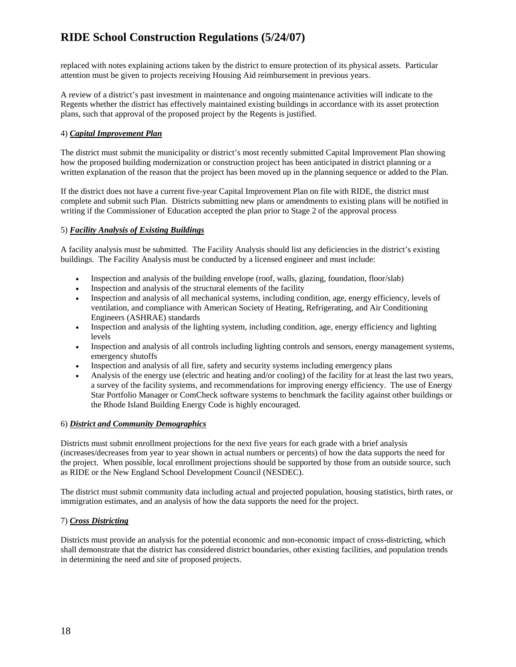replaced with notes explaining actions taken by the district to ensure protection of its physical assets. Particular attention must be given to projects receiving Housing Aid reimbursement in previous years.

A review of a district's past investment in maintenance and ongoing maintenance activities will indicate to the Regents whether the district has effectively maintained existing buildings in accordance with its asset protection plans, such that approval of the proposed project by the Regents is justified.

#### 4) *Capital Improvement Plan*

The district must submit the municipality or district's most recently submitted Capital Improvement Plan showing how the proposed building modernization or construction project has been anticipated in district planning or a written explanation of the reason that the project has been moved up in the planning sequence or added to the Plan.

If the district does not have a current five-year Capital Improvement Plan on file with RIDE, the district must complete and submit such Plan. Districts submitting new plans or amendments to existing plans will be notified in writing if the Commissioner of Education accepted the plan prior to Stage 2 of the approval process

#### 5) *Facility Analysis of Existing Buildings*

A facility analysis must be submitted. The Facility Analysis should list any deficiencies in the district's existing buildings. The Facility Analysis must be conducted by a licensed engineer and must include:

- Inspection and analysis of the building envelope (roof, walls, glazing, foundation, floor/slab)
- Inspection and analysis of the structural elements of the facility
- Inspection and analysis of all mechanical systems, including condition, age, energy efficiency, levels of ventilation, and compliance with American Society of Heating, Refrigerating, and Air Conditioning Engineers (ASHRAE) standards
- Inspection and analysis of the lighting system, including condition, age, energy efficiency and lighting levels
- Inspection and analysis of all controls including lighting controls and sensors, energy management systems, emergency shutoffs
- Inspection and analysis of all fire, safety and security systems including emergency plans
- Analysis of the energy use (electric and heating and/or cooling) of the facility for at least the last two years, a survey of the facility systems, and recommendations for improving energy efficiency. The use of Energy Star Portfolio Manager or ComCheck software systems to benchmark the facility against other buildings or the Rhode Island Building Energy Code is highly encouraged.

#### 6) *District and Community Demographics*

Districts must submit enrollment projections for the next five years for each grade with a brief analysis (increases/decreases from year to year shown in actual numbers or percents) of how the data supports the need for the project. When possible, local enrollment projections should be supported by those from an outside source, such as RIDE or the New England School Development Council (NESDEC).

The district must submit community data including actual and projected population, housing statistics, birth rates, or immigration estimates, and an analysis of how the data supports the need for the project.

#### 7) *Cross Districting*

Districts must provide an analysis for the potential economic and non-economic impact of cross-districting, which shall demonstrate that the district has considered district boundaries, other existing facilities, and population trends in determining the need and site of proposed projects.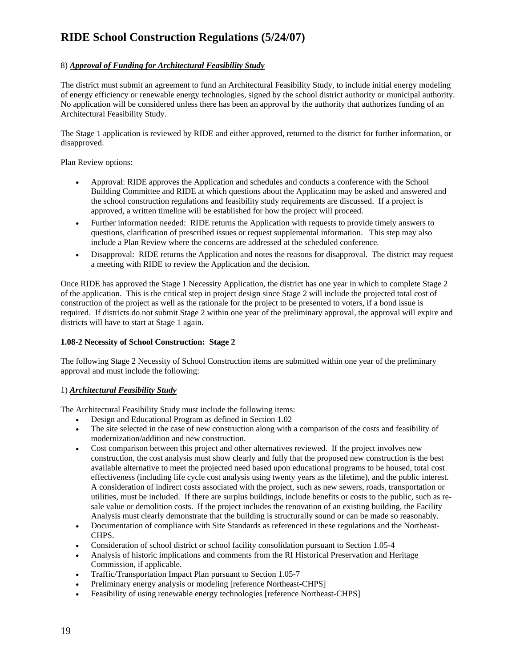#### 8) *Approval of Funding for Architectural Feasibility Study*

The district must submit an agreement to fund an Architectural Feasibility Study, to include initial energy modeling of energy efficiency or renewable energy technologies, signed by the school district authority or municipal authority. No application will be considered unless there has been an approval by the authority that authorizes funding of an Architectural Feasibility Study.

The Stage 1 application is reviewed by RIDE and either approved, returned to the district for further information, or disapproved.

Plan Review options:

- Approval: RIDE approves the Application and schedules and conducts a conference with the School Building Committee and RIDE at which questions about the Application may be asked and answered and the school construction regulations and feasibility study requirements are discussed. If a project is approved, a written timeline will be established for how the project will proceed.
- Further information needed: RIDE returns the Application with requests to provide timely answers to questions, clarification of prescribed issues or request supplemental information. This step may also include a Plan Review where the concerns are addressed at the scheduled conference.
- Disapproval: RIDE returns the Application and notes the reasons for disapproval. The district may request a meeting with RIDE to review the Application and the decision.

Once RIDE has approved the Stage 1 Necessity Application, the district has one year in which to complete Stage 2 of the application. This is the critical step in project design since Stage 2 will include the projected total cost of construction of the project as well as the rationale for the project to be presented to voters, if a bond issue is required. If districts do not submit Stage 2 within one year of the preliminary approval, the approval will expire and districts will have to start at Stage 1 again.

#### **1.08-2 Necessity of School Construction: Stage 2**

The following Stage 2 Necessity of School Construction items are submitted within one year of the preliminary approval and must include the following:

#### 1) *Architectural Feasibility Study*

The Architectural Feasibility Study must include the following items:

- Design and Educational Program as defined in Section 1.02
- The site selected in the case of new construction along with a comparison of the costs and feasibility of modernization/addition and new construction.
- Cost comparison between this project and other alternatives reviewed. If the project involves new construction, the cost analysis must show clearly and fully that the proposed new construction is the best available alternative to meet the projected need based upon educational programs to be housed, total cost effectiveness (including life cycle cost analysis using twenty years as the lifetime), and the public interest. A consideration of indirect costs associated with the project, such as new sewers, roads, transportation or utilities, must be included. If there are surplus buildings, include benefits or costs to the public, such as resale value or demolition costs. If the project includes the renovation of an existing building, the Facility Analysis must clearly demonstrate that the building is structurally sound or can be made so reasonably.
- Documentation of compliance with Site Standards as referenced in these regulations and the Northeast-CHPS.
- Consideration of school district or school facility consolidation pursuant to Section 1.05-4
- Analysis of historic implications and comments from the RI Historical Preservation and Heritage Commission, if applicable.
- Traffic/Transportation Impact Plan pursuant to Section 1.05-7
- Preliminary energy analysis or modeling [reference Northeast-CHPS]
- Feasibility of using renewable energy technologies [reference Northeast-CHPS]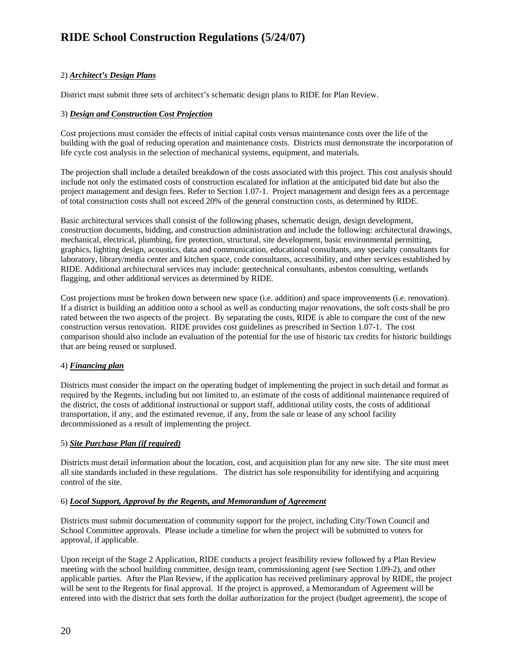#### 2) *Architect's Design Plans*

District must submit three sets of architect's schematic design plans to RIDE for Plan Review.

#### 3) *Design and Construction Cost Projection*

Cost projections must consider the effects of initial capital costs versus maintenance costs over the life of the building with the goal of reducing operation and maintenance costs. Districts must demonstrate the incorporation of life cycle cost analysis in the selection of mechanical systems, equipment, and materials.

The projection shall include a detailed breakdown of the costs associated with this project. This cost analysis should include not only the estimated costs of construction escalated for inflation at the anticipated bid date but also the project management and design fees. Refer to Section 1.07-1. Project management and design fees as a percentage of total construction costs shall not exceed 20% of the general construction costs, as determined by RIDE.

Basic architectural services shall consist of the following phases, schematic design, design development, construction documents, bidding, and construction administration and include the following: architectural drawings, mechanical, electrical, plumbing, fire protection, structural, site development, basic environmental permitting, graphics, lighting design, acoustics, data and communication, educational consultants, any specialty consultants for laboratory, library/media center and kitchen space, code consultants, accessibility, and other services established by RIDE. Additional architectural services may include: geotechnical consultants, asbestos consulting, wetlands flagging, and other additional services as determined by RIDE.

Cost projections must be broken down between new space (i.e. addition) and space improvements (i.e. renovation). If a district is building an addition onto a school as well as conducting major renovations, the soft costs shall be pro rated between the two aspects of the project. By separating the costs, RIDE is able to compare the cost of the new construction versus renovation. RIDE provides cost guidelines as prescribed in Section 1.07-1. The cost comparison should also include an evaluation of the potential for the use of historic tax credits for historic buildings that are being reused or surplused.

#### 4) *Financing plan*

Districts must consider the impact on the operating budget of implementing the project in such detail and format as required by the Regents, including but not limited to, an estimate of the costs of additional maintenance required of the district, the costs of additional instructional or support staff, additional utility costs, the costs of additional transportation, if any, and the estimated revenue, if any, from the sale or lease of any school facility decommissioned as a result of implementing the project.

#### 5) *Site Purchase Plan (if required)*

Districts must detail information about the location, cost, and acquisition plan for any new site. The site must meet all site standards included in these regulations. The district has sole responsibility for identifying and acquiring control of the site.

#### 6) *Local Support, Approval by the Regents, and Memorandum of Agreement*

Districts must submit documentation of community support for the project, including City/Town Council and School Committee approvals. Please include a timeline for when the project will be submitted to voters for approval, if applicable.

Upon receipt of the Stage 2 Application, RIDE conducts a project feasibility review followed by a Plan Review meeting with the school building committee, design team, commissioning agent (see Section 1.09-2), and other applicable parties. After the Plan Review, if the application has received preliminary approval by RIDE, the project will be sent to the Regents for final approval. If the project is approved, a Memorandum of Agreement will be entered into with the district that sets forth the dollar authorization for the project (budget agreement), the scope of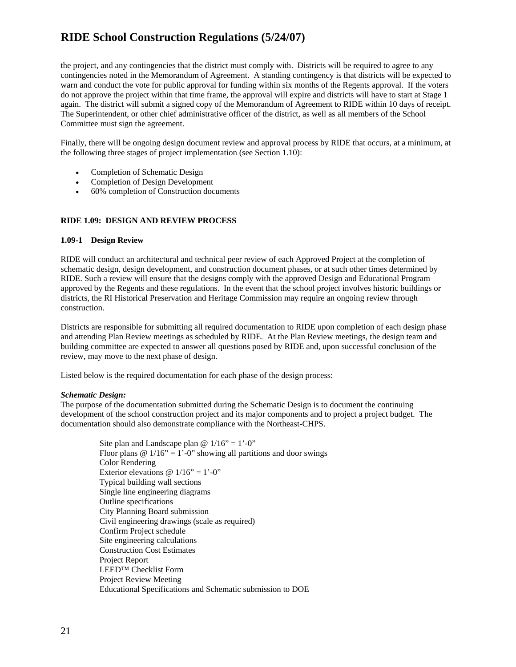the project, and any contingencies that the district must comply with. Districts will be required to agree to any contingencies noted in the Memorandum of Agreement. A standing contingency is that districts will be expected to warn and conduct the vote for public approval for funding within six months of the Regents approval. If the voters do not approve the project within that time frame, the approval will expire and districts will have to start at Stage 1 again. The district will submit a signed copy of the Memorandum of Agreement to RIDE within 10 days of receipt. The Superintendent, or other chief administrative officer of the district, as well as all members of the School Committee must sign the agreement.

Finally, there will be ongoing design document review and approval process by RIDE that occurs, at a minimum, at the following three stages of project implementation (see Section 1.10):

- Completion of Schematic Design
- Completion of Design Development
- 60% completion of Construction documents

#### **RIDE 1.09: DESIGN AND REVIEW PROCESS**

#### **1.09-1 Design Review**

RIDE will conduct an architectural and technical peer review of each Approved Project at the completion of schematic design, design development, and construction document phases, or at such other times determined by RIDE. Such a review will ensure that the designs comply with the approved Design and Educational Program approved by the Regents and these regulations. In the event that the school project involves historic buildings or districts, the RI Historical Preservation and Heritage Commission may require an ongoing review through construction.

Districts are responsible for submitting all required documentation to RIDE upon completion of each design phase and attending Plan Review meetings as scheduled by RIDE. At the Plan Review meetings, the design team and building committee are expected to answer all questions posed by RIDE and, upon successful conclusion of the review, may move to the next phase of design.

Listed below is the required documentation for each phase of the design process:

#### *Schematic Design:*

The purpose of the documentation submitted during the Schematic Design is to document the continuing development of the school construction project and its major components and to project a project budget. The documentation should also demonstrate compliance with the Northeast-CHPS.

> Site plan and Landscape plan  $\omega$  1/16" = 1'-0" Floor plans  $\omega$  1/16" = 1'-0" showing all partitions and door swings Color Rendering Exterior elevations  $\omega$  1/16" = 1'-0" Typical building wall sections Single line engineering diagrams Outline specifications City Planning Board submission Civil engineering drawings (scale as required) Confirm Project schedule Site engineering calculations Construction Cost Estimates Project Report LEED™ Checklist Form Project Review Meeting Educational Specifications and Schematic submission to DOE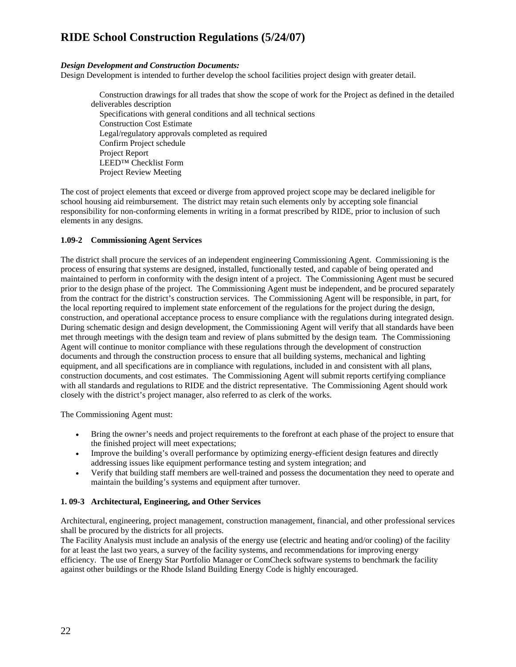#### *Design Development and Construction Documents:*

Design Development is intended to further develop the school facilities project design with greater detail.

 Construction drawings for all trades that show the scope of work for the Project as defined in the detailed deliverables description Specifications with general conditions and all technical sections Construction Cost Estimate Legal/regulatory approvals completed as required Confirm Project schedule Project Report LEED™ Checklist Form Project Review Meeting

The cost of project elements that exceed or diverge from approved project scope may be declared ineligible for school housing aid reimbursement. The district may retain such elements only by accepting sole financial responsibility for non-conforming elements in writing in a format prescribed by RIDE, prior to inclusion of such elements in any designs.

#### **1.09-2 Commissioning Agent Services**

The district shall procure the services of an independent engineering Commissioning Agent. Commissioning is the process of ensuring that systems are designed, installed, functionally tested, and capable of being operated and maintained to perform in conformity with the design intent of a project. The Commissioning Agent must be secured prior to the design phase of the project. The Commissioning Agent must be independent, and be procured separately from the contract for the district's construction services. The Commissioning Agent will be responsible, in part, for the local reporting required to implement state enforcement of the regulations for the project during the design, construction, and operational acceptance process to ensure compliance with the regulations during integrated design. During schematic design and design development, the Commissioning Agent will verify that all standards have been met through meetings with the design team and review of plans submitted by the design team. The Commissioning Agent will continue to monitor compliance with these regulations through the development of construction documents and through the construction process to ensure that all building systems, mechanical and lighting equipment, and all specifications are in compliance with regulations, included in and consistent with all plans, construction documents, and cost estimates. The Commissioning Agent will submit reports certifying compliance with all standards and regulations to RIDE and the district representative. The Commissioning Agent should work closely with the district's project manager, also referred to as clerk of the works.

The Commissioning Agent must:

- Bring the owner's needs and project requirements to the forefront at each phase of the project to ensure that the finished project will meet expectations;
- Improve the building's overall performance by optimizing energy-efficient design features and directly addressing issues like equipment performance testing and system integration; and
- Verify that building staff members are well-trained and possess the documentation they need to operate and maintain the building's systems and equipment after turnover.

#### **1. 09-3 Architectural, Engineering, and Other Services**

Architectural, engineering, project management, construction management, financial, and other professional services shall be procured by the districts for all projects.

The Facility Analysis must include an analysis of the energy use (electric and heating and/or cooling) of the facility for at least the last two years, a survey of the facility systems, and recommendations for improving energy efficiency. The use of Energy Star Portfolio Manager or ComCheck software systems to benchmark the facility against other buildings or the Rhode Island Building Energy Code is highly encouraged.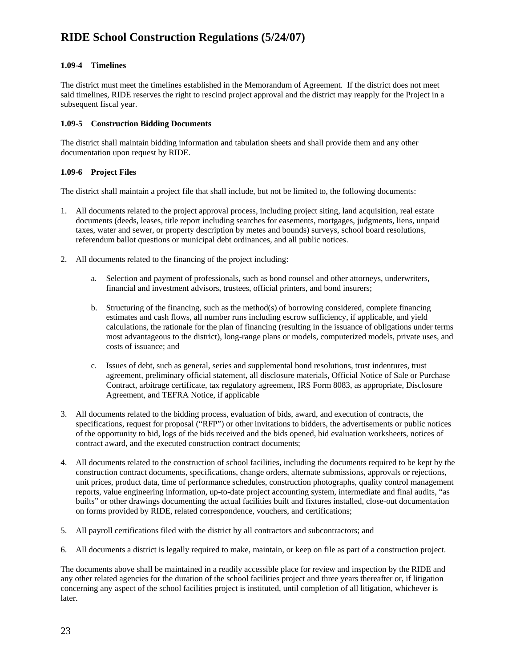#### **1.09-4 Timelines**

The district must meet the timelines established in the Memorandum of Agreement. If the district does not meet said timelines, RIDE reserves the right to rescind project approval and the district may reapply for the Project in a subsequent fiscal year.

#### **1.09-5 Construction Bidding Documents**

The district shall maintain bidding information and tabulation sheets and shall provide them and any other documentation upon request by RIDE.

#### **1.09-6 Project Files**

The district shall maintain a project file that shall include, but not be limited to, the following documents:

- 1. All documents related to the project approval process, including project siting, land acquisition, real estate documents (deeds, leases, title report including searches for easements, mortgages, judgments, liens, unpaid taxes, water and sewer, or property description by metes and bounds) surveys, school board resolutions, referendum ballot questions or municipal debt ordinances, and all public notices.
- 2. All documents related to the financing of the project including:
	- a. Selection and payment of professionals, such as bond counsel and other attorneys, underwriters, financial and investment advisors, trustees, official printers, and bond insurers;
	- b. Structuring of the financing, such as the method(s) of borrowing considered, complete financing estimates and cash flows, all number runs including escrow sufficiency, if applicable, and yield calculations, the rationale for the plan of financing (resulting in the issuance of obligations under terms most advantageous to the district), long-range plans or models, computerized models, private uses, and costs of issuance; and
	- c. Issues of debt, such as general, series and supplemental bond resolutions, trust indentures, trust agreement, preliminary official statement, all disclosure materials, Official Notice of Sale or Purchase Contract, arbitrage certificate, tax regulatory agreement, IRS Form 8083, as appropriate, Disclosure Agreement, and TEFRA Notice, if applicable
- 3. All documents related to the bidding process, evaluation of bids, award, and execution of contracts, the specifications, request for proposal ("RFP") or other invitations to bidders, the advertisements or public notices of the opportunity to bid, logs of the bids received and the bids opened, bid evaluation worksheets, notices of contract award, and the executed construction contract documents;
- 4. All documents related to the construction of school facilities, including the documents required to be kept by the construction contract documents, specifications, change orders, alternate submissions, approvals or rejections, unit prices, product data, time of performance schedules, construction photographs, quality control management reports, value engineering information, up-to-date project accounting system, intermediate and final audits, "as builts" or other drawings documenting the actual facilities built and fixtures installed, close-out documentation on forms provided by RIDE, related correspondence, vouchers, and certifications;
- 5. All payroll certifications filed with the district by all contractors and subcontractors; and
- 6. All documents a district is legally required to make, maintain, or keep on file as part of a construction project.

The documents above shall be maintained in a readily accessible place for review and inspection by the RIDE and any other related agencies for the duration of the school facilities project and three years thereafter or, if litigation concerning any aspect of the school facilities project is instituted, until completion of all litigation, whichever is later.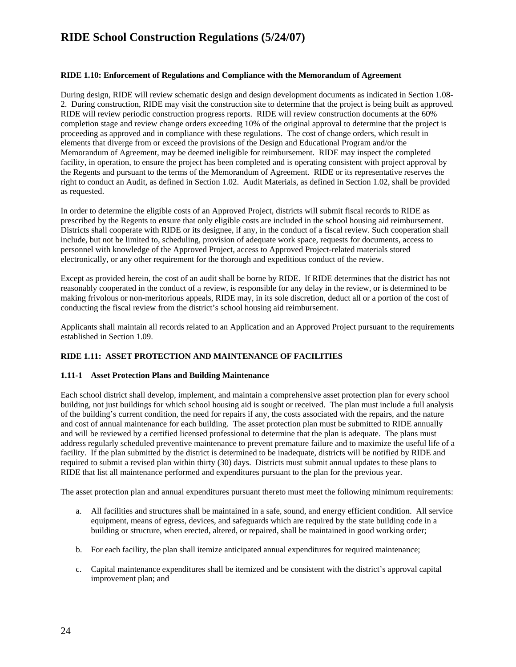#### **RIDE 1.10: Enforcement of Regulations and Compliance with the Memorandum of Agreement**

During design, RIDE will review schematic design and design development documents as indicated in Section 1.08- 2. During construction, RIDE may visit the construction site to determine that the project is being built as approved. RIDE will review periodic construction progress reports. RIDE will review construction documents at the 60% completion stage and review change orders exceeding 10% of the original approval to determine that the project is proceeding as approved and in compliance with these regulations. The cost of change orders, which result in elements that diverge from or exceed the provisions of the Design and Educational Program and/or the Memorandum of Agreement, may be deemed ineligible for reimbursement. RIDE may inspect the completed facility, in operation, to ensure the project has been completed and is operating consistent with project approval by the Regents and pursuant to the terms of the Memorandum of Agreement. RIDE or its representative reserves the right to conduct an Audit, as defined in Section 1.02. Audit Materials, as defined in Section 1.02, shall be provided as requested.

In order to determine the eligible costs of an Approved Project, districts will submit fiscal records to RIDE as prescribed by the Regents to ensure that only eligible costs are included in the school housing aid reimbursement. Districts shall cooperate with RIDE or its designee, if any, in the conduct of a fiscal review. Such cooperation shall include, but not be limited to, scheduling, provision of adequate work space, requests for documents, access to personnel with knowledge of the Approved Project, access to Approved Project-related materials stored electronically, or any other requirement for the thorough and expeditious conduct of the review.

Except as provided herein, the cost of an audit shall be borne by RIDE. If RIDE determines that the district has not reasonably cooperated in the conduct of a review, is responsible for any delay in the review, or is determined to be making frivolous or non-meritorious appeals, RIDE may, in its sole discretion, deduct all or a portion of the cost of conducting the fiscal review from the district's school housing aid reimbursement.

Applicants shall maintain all records related to an Application and an Approved Project pursuant to the requirements established in Section 1.09.

#### **RIDE 1.11: ASSET PROTECTION AND MAINTENANCE OF FACILITIES**

#### **1.11-1 Asset Protection Plans and Building Maintenance**

Each school district shall develop, implement, and maintain a comprehensive asset protection plan for every school building, not just buildings for which school housing aid is sought or received. The plan must include a full analysis of the building's current condition, the need for repairs if any, the costs associated with the repairs, and the nature and cost of annual maintenance for each building. The asset protection plan must be submitted to RIDE annually and will be reviewed by a certified licensed professional to determine that the plan is adequate. The plans must address regularly scheduled preventive maintenance to prevent premature failure and to maximize the useful life of a facility. If the plan submitted by the district is determined to be inadequate, districts will be notified by RIDE and required to submit a revised plan within thirty (30) days. Districts must submit annual updates to these plans to RIDE that list all maintenance performed and expenditures pursuant to the plan for the previous year.

The asset protection plan and annual expenditures pursuant thereto must meet the following minimum requirements:

- a. All facilities and structures shall be maintained in a safe, sound, and energy efficient condition. All service equipment, means of egress, devices, and safeguards which are required by the state building code in a building or structure, when erected, altered, or repaired, shall be maintained in good working order;
- b. For each facility, the plan shall itemize anticipated annual expenditures for required maintenance;
- c. Capital maintenance expenditures shall be itemized and be consistent with the district's approval capital improvement plan; and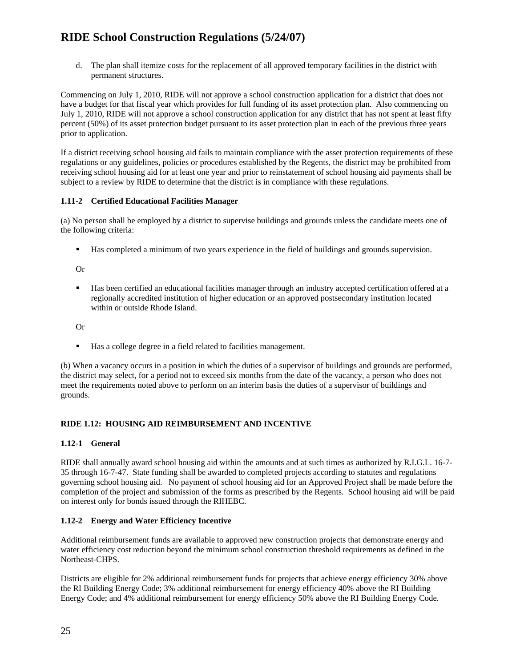d. The plan shall itemize costs for the replacement of all approved temporary facilities in the district with permanent structures.

Commencing on July 1, 2010, RIDE will not approve a school construction application for a district that does not have a budget for that fiscal year which provides for full funding of its asset protection plan. Also commencing on July 1, 2010, RIDE will not approve a school construction application for any district that has not spent at least fifty percent (50%) of its asset protection budget pursuant to its asset protection plan in each of the previous three years prior to application.

If a district receiving school housing aid fails to maintain compliance with the asset protection requirements of these regulations or any guidelines, policies or procedures established by the Regents, the district may be prohibited from receiving school housing aid for at least one year and prior to reinstatement of school housing aid payments shall be subject to a review by RIDE to determine that the district is in compliance with these regulations.

#### **1.11-2 Certified Educational Facilities Manager**

(a) No person shall be employed by a district to supervise buildings and grounds unless the candidate meets one of the following criteria:

**Has completed a minimum of two years experience in the field of buildings and grounds supervision.** 

Or

 Has been certified an educational facilities manager through an industry accepted certification offered at a regionally accredited institution of higher education or an approved postsecondary institution located within or outside Rhode Island.

Or

Has a college degree in a field related to facilities management.

(b) When a vacancy occurs in a position in which the duties of a supervisor of buildings and grounds are performed, the district may select, for a period not to exceed six months from the date of the vacancy, a person who does not meet the requirements noted above to perform on an interim basis the duties of a supervisor of buildings and grounds.

#### **RIDE 1.12: HOUSING AID REIMBURSEMENT AND INCENTIVE**

#### **1.12-1 General**

RIDE shall annually award school housing aid within the amounts and at such times as authorized by R.I.G.L. 16-7- 35 through 16-7-47. State funding shall be awarded to completed projects according to statutes and regulations governing school housing aid. No payment of school housing aid for an Approved Project shall be made before the completion of the project and submission of the forms as prescribed by the Regents. School housing aid will be paid on interest only for bonds issued through the RIHEBC.

#### **1.12-2 Energy and Water Efficiency Incentive**

Additional reimbursement funds are available to approved new construction projects that demonstrate energy and water efficiency cost reduction beyond the minimum school construction threshold requirements as defined in the Northeast-CHPS.

Districts are eligible for 2% additional reimbursement funds for projects that achieve energy efficiency 30% above the RI Building Energy Code; 3% additional reimbursement for energy efficiency 40% above the RI Building Energy Code; and 4% additional reimbursement for energy efficiency 50% above the RI Building Energy Code.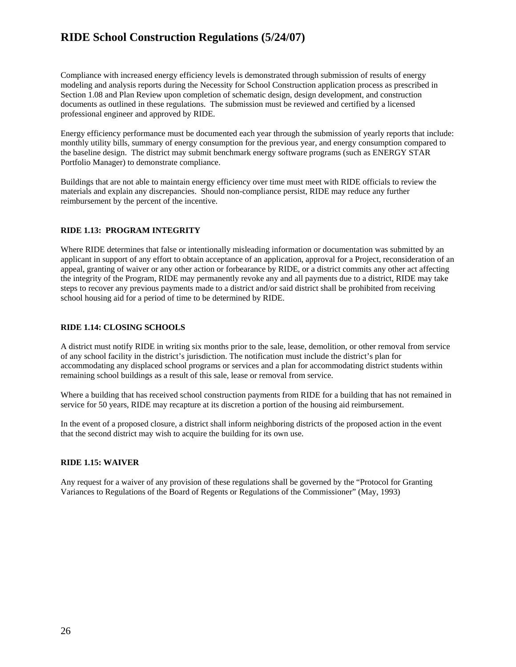Compliance with increased energy efficiency levels is demonstrated through submission of results of energy modeling and analysis reports during the Necessity for School Construction application process as prescribed in Section 1.08 and Plan Review upon completion of schematic design, design development, and construction documents as outlined in these regulations. The submission must be reviewed and certified by a licensed professional engineer and approved by RIDE.

Energy efficiency performance must be documented each year through the submission of yearly reports that include: monthly utility bills, summary of energy consumption for the previous year, and energy consumption compared to the baseline design. The district may submit benchmark energy software programs (such as ENERGY STAR Portfolio Manager) to demonstrate compliance.

Buildings that are not able to maintain energy efficiency over time must meet with RIDE officials to review the materials and explain any discrepancies. Should non-compliance persist, RIDE may reduce any further reimbursement by the percent of the incentive.

#### **RIDE 1.13: PROGRAM INTEGRITY**

Where RIDE determines that false or intentionally misleading information or documentation was submitted by an applicant in support of any effort to obtain acceptance of an application, approval for a Project, reconsideration of an appeal, granting of waiver or any other action or forbearance by RIDE, or a district commits any other act affecting the integrity of the Program, RIDE may permanently revoke any and all payments due to a district, RIDE may take steps to recover any previous payments made to a district and/or said district shall be prohibited from receiving school housing aid for a period of time to be determined by RIDE.

#### **RIDE 1.14: CLOSING SCHOOLS**

A district must notify RIDE in writing six months prior to the sale, lease, demolition, or other removal from service of any school facility in the district's jurisdiction. The notification must include the district's plan for accommodating any displaced school programs or services and a plan for accommodating district students within remaining school buildings as a result of this sale, lease or removal from service.

Where a building that has received school construction payments from RIDE for a building that has not remained in service for 50 years, RIDE may recapture at its discretion a portion of the housing aid reimbursement.

In the event of a proposed closure, a district shall inform neighboring districts of the proposed action in the event that the second district may wish to acquire the building for its own use.

#### **RIDE 1.15: WAIVER**

Any request for a waiver of any provision of these regulations shall be governed by the "Protocol for Granting Variances to Regulations of the Board of Regents or Regulations of the Commissioner" (May, 1993)